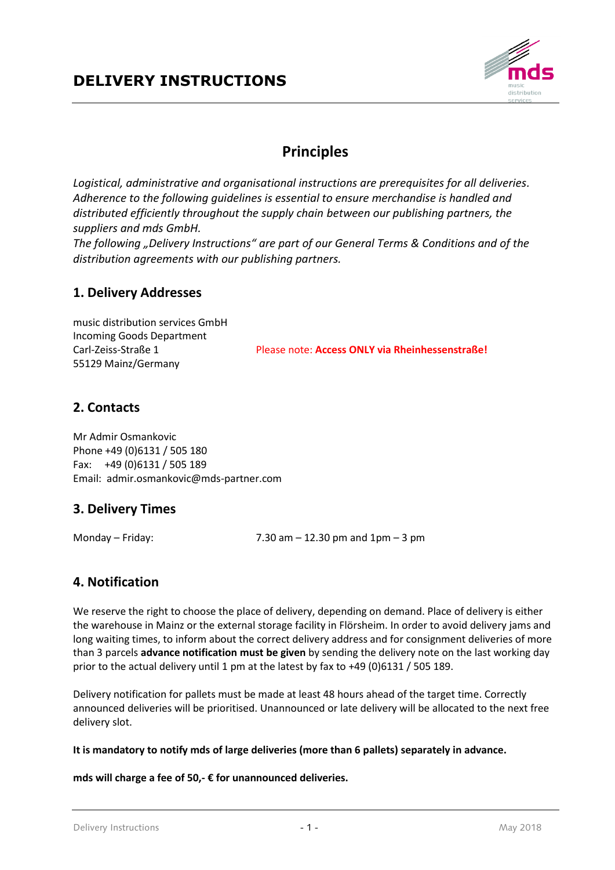

## **Principles**

*Logistical, administrative and organisational instructions are prerequisites for all deliveries. Adherence to the following guidelines is essential to ensure merchandise is handled and distributed efficiently throughout the supply chain between our publishing partners, the suppliers and mds GmbH.*

*The following "Delivery Instructions" are part of our General Terms & Conditions and of the distribution agreements with our publishing partners.*

#### **1. Delivery Addresses**

music distribution services GmbH Incoming Goods Department 55129 Mainz/Germany

Carl-Zeiss-Straße 1 Please note: **Access ONLY via Rheinhessenstraße!**

## **2. Contacts**

Mr Admir Osmankovic Phone +49 (0)6131 / 505 180 Fax: +49 (0)6131 / 505 189 Email: admir.osmankovic@mds-partner.com

## **3. Delivery Times**

Monday – Friday:  $7.30 \text{ am} - 12.30 \text{ pm}$  and  $1 \text{pm} - 3 \text{ pm}$ 

## **4. Notification**

We reserve the right to choose the place of delivery, depending on demand. Place of delivery is either the warehouse in Mainz or the external storage facility in Flörsheim. In order to avoid delivery jams and long waiting times, to inform about the correct delivery address and for consignment deliveries of more than 3 parcels **advance notification must be given** by sending the delivery note on the last working day prior to the actual delivery until 1 pm at the latest by fax to +49 (0)6131 / 505 189.

Delivery notification for pallets must be made at least 48 hours ahead of the target time. Correctly announced deliveries will be prioritised. Unannounced or late delivery will be allocated to the next free delivery slot.

**It is mandatory to notify mds of large deliveries (more than 6 pallets) separately in advance.**

**mds will charge a fee of 50,- € for unannounced deliveries.**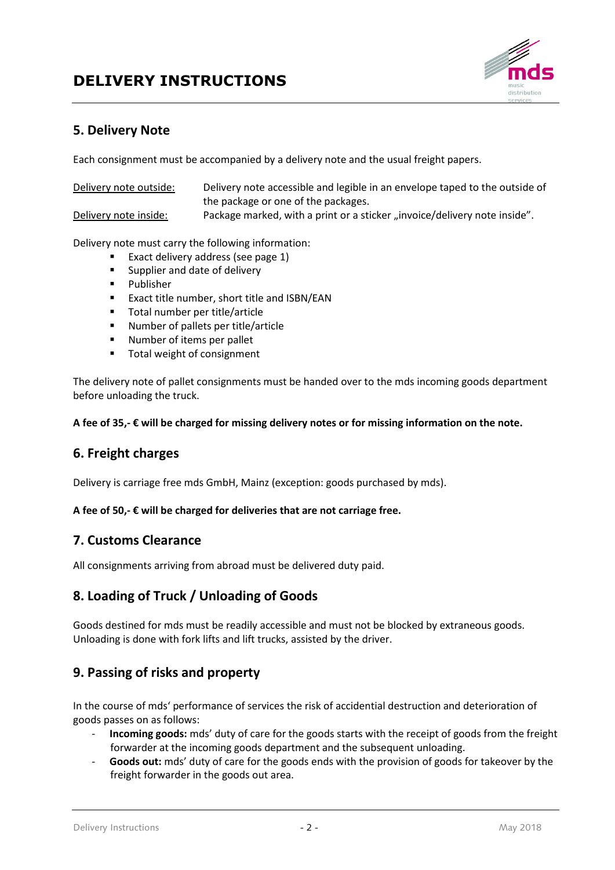

## **5. Delivery Note**

Each consignment must be accompanied by a delivery note and the usual freight papers.

Delivery note outside: Delivery note accessible and legible in an envelope taped to the outside of the package or one of the packages.

Delivery note inside: Package marked, with a print or a sticker "invoice/delivery note inside".

Delivery note must carry the following information:

- Exact delivery address (see page  $1$ )
- **Supplier and date of delivery**
- **Publisher**
- Exact title number, short title and ISBN/EAN
- Total number per title/article
- Number of pallets per title/article
- **Number of items per pallet**
- Total weight of consignment

The delivery note of pallet consignments must be handed over to the mds incoming goods department before unloading the truck.

**A fee of 35,- € will be charged for missing delivery notes or for missing information on the note.**

#### **6. Freight charges**

Delivery is carriage free mds GmbH, Mainz (exception: goods purchased by mds).

#### **A fee of 50,- € will be charged for deliveries that are not carriage free.**

#### **7. Customs Clearance**

All consignments arriving from abroad must be delivered duty paid.

## **8. Loading of Truck / Unloading of Goods**

Goods destined for mds must be readily accessible and must not be blocked by extraneous goods. Unloading is done with fork lifts and lift trucks, assisted by the driver.

## **9. Passing of risks and property**

In the course of mds' performance of services the risk of accidential destruction and deterioration of goods passes on as follows:

- **Incoming goods:** mds' duty of care for the goods starts with the receipt of goods from the freight forwarder at the incoming goods department and the subsequent unloading.
- Goods out: mds' duty of care for the goods ends with the provision of goods for takeover by the freight forwarder in the goods out area.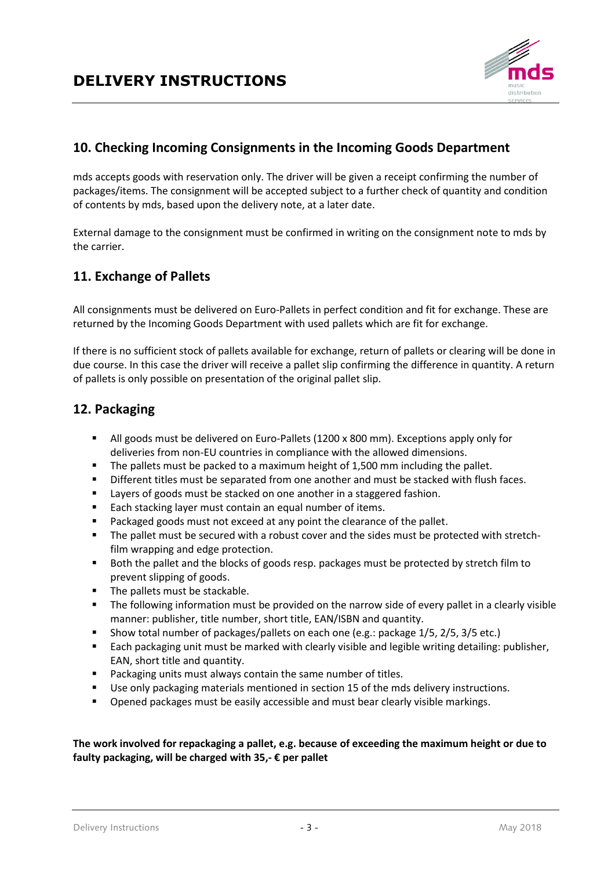

## **10. Checking Incoming Consignments in the Incoming Goods Department**

mds accepts goods with reservation only. The driver will be given a receipt confirming the number of packages/items. The consignment will be accepted subject to a further check of quantity and condition of contents by mds, based upon the delivery note, at a later date.

External damage to the consignment must be confirmed in writing on the consignment note to mds by the carrier.

## **11. Exchange of Pallets**

All consignments must be delivered on Euro-Pallets in perfect condition and fit for exchange. These are returned by the Incoming Goods Department with used pallets which are fit for exchange.

If there is no sufficient stock of pallets available for exchange, return of pallets or clearing will be done in due course. In this case the driver will receive a pallet slip confirming the difference in quantity. A return of pallets is only possible on presentation of the original pallet slip.

## **12. Packaging**

- All goods must be delivered on Euro-Pallets (1200 x 800 mm). Exceptions apply only for deliveries from non-EU countries in compliance with the allowed dimensions.
- The pallets must be packed to a maximum height of 1,500 mm including the pallet.
- Different titles must be separated from one another and must be stacked with flush faces.
- **EXECT** Layers of goods must be stacked on one another in a staggered fashion.
- Each stacking layer must contain an equal number of items.
- Packaged goods must not exceed at any point the clearance of the pallet.
- The pallet must be secured with a robust cover and the sides must be protected with stretchfilm wrapping and edge protection.
- Both the pallet and the blocks of goods resp. packages must be protected by stretch film to prevent slipping of goods.
- The pallets must be stackable.
- **The following information must be provided on the narrow side of every pallet in a clearly visible** manner: publisher, title number, short title, EAN/ISBN and quantity.
- Show total number of packages/pallets on each one (e.g.: package 1/5, 2/5, 3/5 etc.)
- Each packaging unit must be marked with clearly visible and legible writing detailing: publisher, EAN, short title and quantity.
- **Packaging units must always contain the same number of titles.**
- Use only packaging materials mentioned in section 15 of the mds delivery instructions.
- Opened packages must be easily accessible and must bear clearly visible markings.

#### **The work involved for repackaging a pallet, e.g. because of exceeding the maximum height or due to faulty packaging, will be charged with 35,- € per pallet**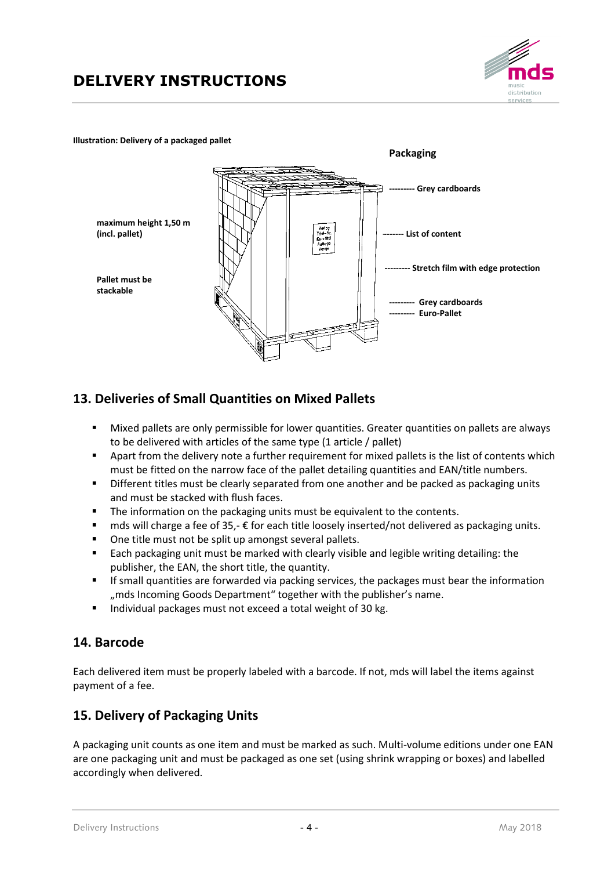

#### **Illustration: Delivery of a packaged pallet**



## **13. Deliveries of Small Quantities on Mixed Pallets**

- Mixed pallets are only permissible for lower quantities. Greater quantities on pallets are always to be delivered with articles of the same type (1 article / pallet)
- Apart from the delivery note a further requirement for mixed pallets is the list of contents which must be fitted on the narrow face of the pallet detailing quantities and EAN/title numbers.
- Different titles must be clearly separated from one another and be packed as packaging units and must be stacked with flush faces.
- **The information on the packaging units must be equivalent to the contents.**
- $\blacksquare$  mds will charge a fee of 35,-  $\epsilon$  for each title loosely inserted/not delivered as packaging units.
- One title must not be split up amongst several pallets.
- Each packaging unit must be marked with clearly visible and legible writing detailing: the publisher, the EAN, the short title, the quantity.
- **If small quantities are forwarded via packing services, the packages must bear the information** "mds Incoming Goods Department" together with the publisher's name.
- Individual packages must not exceed a total weight of 30 kg.

## **14. Barcode**

Each delivered item must be properly labeled with a barcode. If not, mds will label the items against payment of a fee.

## **15. Delivery of Packaging Units**

A packaging unit counts as one item and must be marked as such. Multi-volume editions under one EAN are one packaging unit and must be packaged as one set (using shrink wrapping or boxes) and labelled accordingly when delivered.